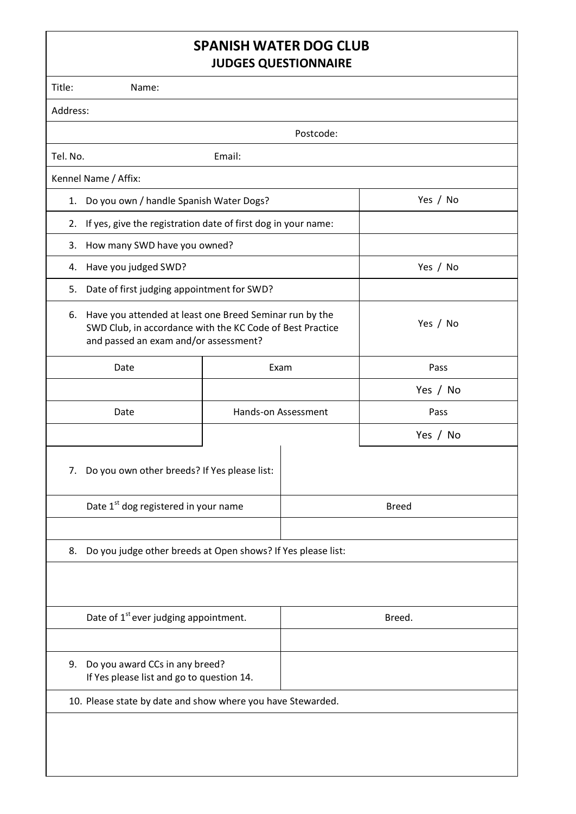## **SPANISH WATER DOG CLUB JUDGES QUESTIONNAIRE**

|                                                                                                                                                                     | <b>SUDALS QUESTIONISHINE</b>               |                     |          |  |  |  |  |  |
|---------------------------------------------------------------------------------------------------------------------------------------------------------------------|--------------------------------------------|---------------------|----------|--|--|--|--|--|
| Title:<br>Name:                                                                                                                                                     |                                            |                     |          |  |  |  |  |  |
| Address:                                                                                                                                                            |                                            |                     |          |  |  |  |  |  |
|                                                                                                                                                                     | Postcode:                                  |                     |          |  |  |  |  |  |
| Tel. No.                                                                                                                                                            | Email:                                     |                     |          |  |  |  |  |  |
| Kennel Name / Affix:                                                                                                                                                |                                            |                     |          |  |  |  |  |  |
| Do you own / handle Spanish Water Dogs?<br>1.                                                                                                                       |                                            |                     | Yes / No |  |  |  |  |  |
| If yes, give the registration date of first dog in your name:<br>2.                                                                                                 |                                            |                     |          |  |  |  |  |  |
| 3.                                                                                                                                                                  | How many SWD have you owned?               |                     |          |  |  |  |  |  |
| Have you judged SWD?<br>4.                                                                                                                                          |                                            |                     | Yes / No |  |  |  |  |  |
| 5.                                                                                                                                                                  | Date of first judging appointment for SWD? |                     |          |  |  |  |  |  |
| Have you attended at least one Breed Seminar run by the<br>6.<br>SWD Club, in accordance with the KC Code of Best Practice<br>and passed an exam and/or assessment? | Yes / No                                   |                     |          |  |  |  |  |  |
| Date                                                                                                                                                                |                                            | Exam                | Pass     |  |  |  |  |  |
|                                                                                                                                                                     |                                            |                     | Yes / No |  |  |  |  |  |
| Date                                                                                                                                                                |                                            | Hands-on Assessment | Pass     |  |  |  |  |  |
|                                                                                                                                                                     |                                            |                     | Yes / No |  |  |  |  |  |
| Do you own other breeds? If Yes please list:<br>7.                                                                                                                  |                                            |                     |          |  |  |  |  |  |
| Date 1 <sup>st</sup> dog registered in your name                                                                                                                    |                                            | <b>Breed</b>        |          |  |  |  |  |  |
|                                                                                                                                                                     |                                            |                     |          |  |  |  |  |  |
| Do you judge other breeds at Open shows? If Yes please list:<br>8.                                                                                                  |                                            |                     |          |  |  |  |  |  |
|                                                                                                                                                                     |                                            |                     |          |  |  |  |  |  |
| Date of 1 <sup>st</sup> ever judging appointment.                                                                                                                   |                                            | Breed.              |          |  |  |  |  |  |
| Do you award CCs in any breed?<br>9.<br>If Yes please list and go to question 14.                                                                                   |                                            |                     |          |  |  |  |  |  |
| 10. Please state by date and show where you have Stewarded.                                                                                                         |                                            |                     |          |  |  |  |  |  |
|                                                                                                                                                                     |                                            |                     |          |  |  |  |  |  |